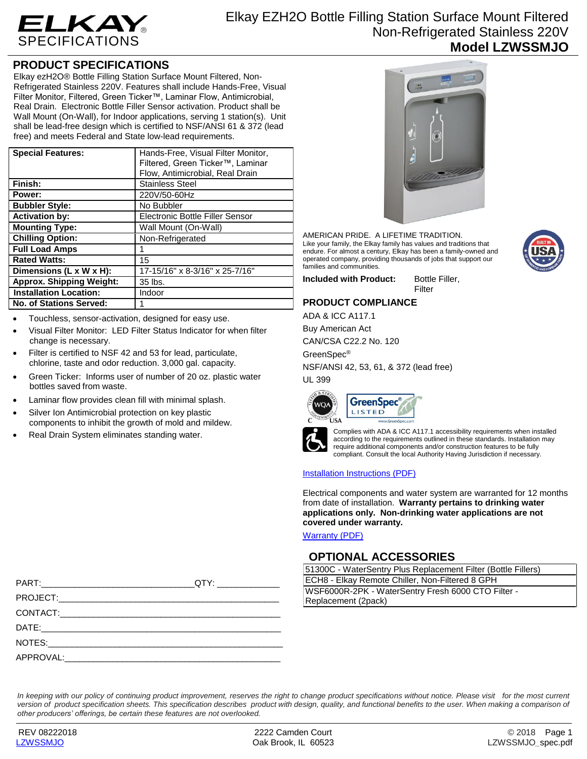

# **PRODUCT SPECIFICATIONS**

Elkay ezH2O® Bottle Filling Station Surface Mount Filtered, Non-Refrigerated Stainless 220V. Features shall include Hands-Free, Visual Filter Monitor, Filtered, Green Ticker™, Laminar Flow, Antimicrobial, Real Drain. Electronic Bottle Filler Sensor activation. Product shall be Wall Mount (On-Wall), for Indoor applications, serving 1 station(s). Unit shall be lead-free design which is certified to NSF/ANSI 61 & 372 (lead free) and meets Federal and State low-lead requirements.

| <b>Special Features:</b>        | Hands-Free, Visual Filter Monitor,<br>Filtered, Green Ticker™, Laminar<br>Flow, Antimicrobial, Real Drain |
|---------------------------------|-----------------------------------------------------------------------------------------------------------|
| Finish:                         | Stainless Steel                                                                                           |
| Power:                          | 220V/50-60Hz                                                                                              |
| <b>Bubbler Style:</b>           | No Bubbler                                                                                                |
| <b>Activation by:</b>           | Electronic Bottle Filler Sensor                                                                           |
| <b>Mounting Type:</b>           | Wall Mount (On-Wall)                                                                                      |
| <b>Chilling Option:</b>         | Non-Refrigerated                                                                                          |
| <b>Full Load Amps</b>           |                                                                                                           |
| <b>Rated Watts:</b>             | 15                                                                                                        |
| Dimensions (L x W x H):         | 17-15/16" x 8-3/16" x 25-7/16"                                                                            |
| <b>Approx. Shipping Weight:</b> | 35 lbs.                                                                                                   |
| <b>Installation Location:</b>   | Indoor                                                                                                    |
| <b>No. of Stations Served:</b>  |                                                                                                           |

- Touchless, sensor-activation, designed for easy use.
- Visual Filter Monitor: LED Filter Status Indicator for when filter change is necessary.
- Filter is certified to NSF 42 and 53 for lead, particulate, chlorine, taste and odor reduction. 3,000 gal. capacity.
- Green Ticker: Informs user of number of 20 oz. plastic water bottles saved from waste.
- Laminar flow provides clean fill with minimal splash.
- Silver Ion Antimicrobial protection on key plastic components to inhibit the growth of mold and mildew.
- Real Drain System eliminates standing water.



AMERICAN PRIDE. A LIFETIME TRADITION. Like your family, the Elkay family has values and traditions that endure. For almost a century, Elkay has been a family-owned and operated company, providing thousands of jobs that support our families and communities.

**Included with Product:** Bottle Filler, Filter

## **PRODUCT COMPLIANCE**

ADA & ICC A117.1

Buy American Act CAN/CSA C22.2 No. 120

GreenSpec®

NSF/ANSI 42, 53, 61, & 372 (lead free)

UL 399





Complies with ADA & ICC A117.1 accessibility requirements when installed according to the requirements outlined in these standards. Installation may require additional components and/or construction features to be fully compliant. Consult the local Authority Having Jurisdiction if necessary.

### [Installation Instructions \(PDF\)](http://www.elkay.com/wcsstore/lkdocs/care-cleaning-install-warranty-sheets/98764c.pdf)

Electrical components and water system are warranted for 12 months from date of installation. **Warranty pertains to drinking water applications only. Non-drinking water applications are not covered under warranty.**

[Warranty](http://www.elkay.com/wcsstore/lkdocs/care-cleaning-install-warranty-sheets/96993c.pdf) (PDF)

## **OPTIONAL ACCESSORIES**

| 51300C - WaterSentry Plus Replacement Filter (Bottle Fillers) |  |  |
|---------------------------------------------------------------|--|--|
| ECH8 - Elkay Remote Chiller, Non-Filtered 8 GPH               |  |  |
| WSF6000R-2PK - WaterSentry Fresh 6000 CTO Filter -            |  |  |
| Replacement (2pack)                                           |  |  |

*In keeping with our policy of continuing product improvement, reserves the right to change product specifications without notice. Please visit for the most current*  version of product specification sheets. This specification describes product with design, quality, and functional benefits to the user. When making a comparison of *other producers' offerings, be certain these features are not overlooked.*